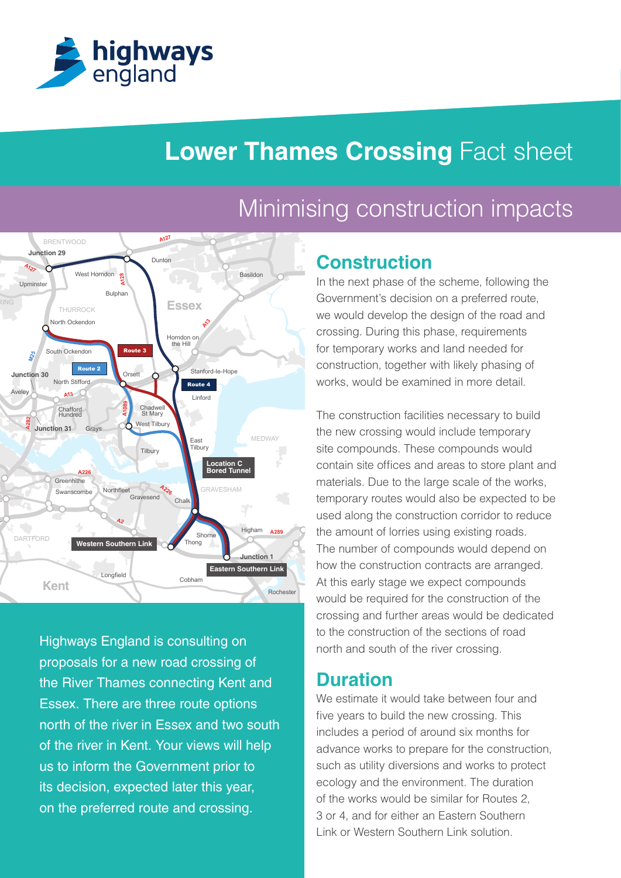

# **Lower Thames Crossing Fact sheet**

#### **A A1089 A2 A282 A127 A13** A<sub>12</sub> **A128 A226 A226 A289 M25 Essex** Orsett Linford Hundred Chafford Chadwel<br>St Mary Horndon or<br>the Hill Dunton West Horndon Aveley North Stifford **Greenhithe Northfleet** Shorne Higham Bulphan North Ockendon South Ockendon Stanford-le-Hope Swanscombe Longfield Cobham Rochester East **Tilbury** West Tilbury **Gravesend** Grays **Upminster** MEDWAY RAVESHAM BRENTWOOD **DARTFORD** THURROCK Tilbury **Kent** Chalk Thong **Location C Bored Tunnel Eastern Southern Link Western Southern Link Junction 31 Junction 30 Junction 29 Junction 1** Route 2 Route 3 Route 4

**M20 M26 M20** north of the river in Essex and two south Highways England is consulting on proposals for a new road crossing of the River Thames connecting Kent and Essex. There are three route options of the river in Kent. Your views will help us to inform the Government prior to its decision, expected later this year, on the preferred route and crossing.

# Minimising construction impacts

## **Construction**

for temporary works and land needed for Basildon **South Benjleet** In the next phase of the scheme, following the crossing. During this phase, requirements Government's decision on a preferred route, we would develop the design of the road and construction, together with likely phasing of works, would be examined in more detail.

> crossing and further areas would be dedicated would be required for the construction of the The construction facilities necessary to build the new crossing would include temporary site compounds. These compounds would contain site offices and areas to store plant and materials. Due to the large scale of the works, temporary routes would also be expected to be used along the construction corridor to reduce the amount of lorries using existing roads. The number of compounds would depend on how the construction contracts are arranged. At this early stage we expect compounds to the construction of the sections of road north and south of the river crossing.

## **Duration**

We estimate it would take between four and five years to build the new crossing. This includes a period of around six months for advance works to prepare for the construction, such as utility diversions and works to protect ecology and the environment. The duration of the works would be similar for Routes 2, 3 or 4, and for either an Eastern Southern Link or Western Southern Link solution.